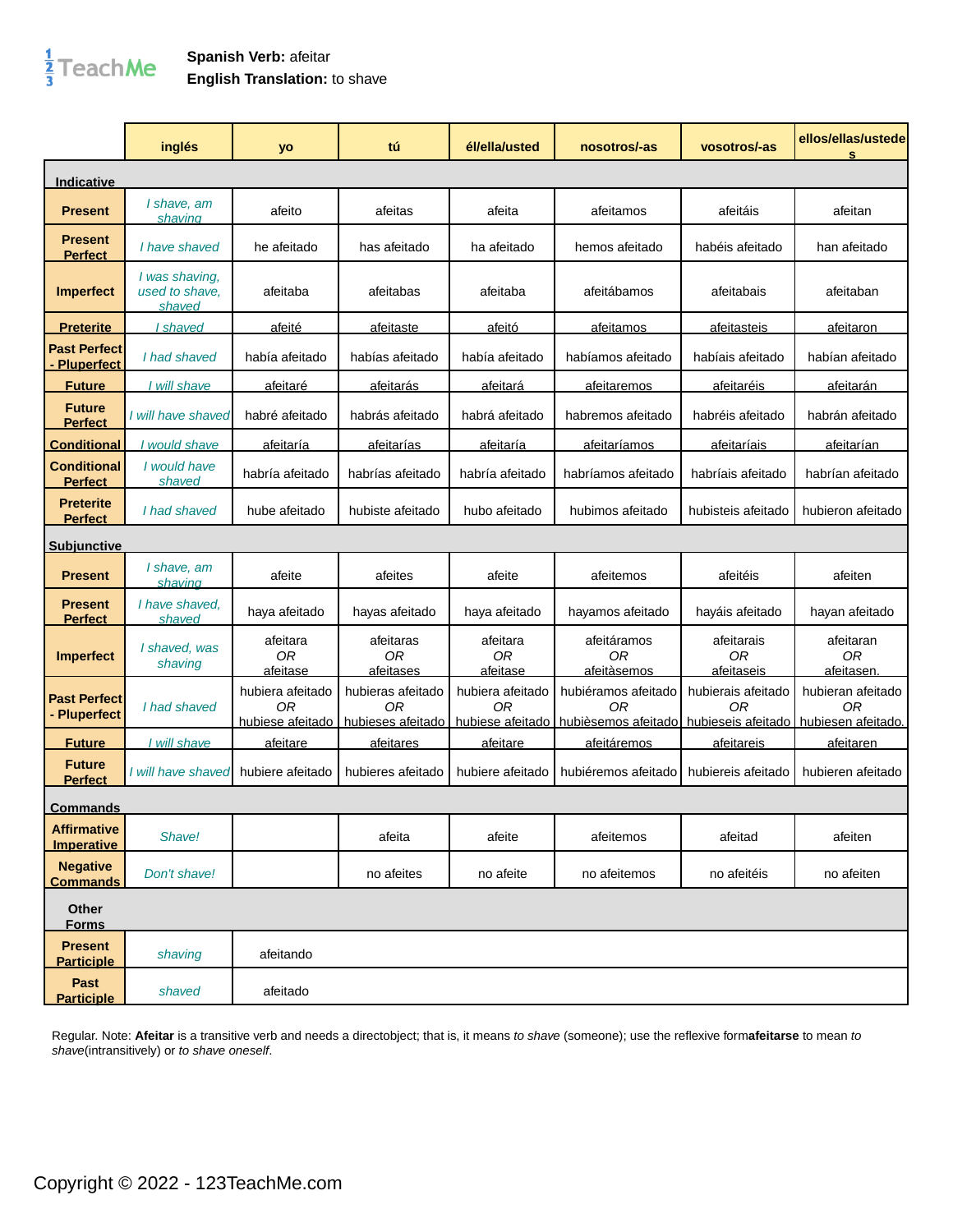## $\frac{1}{3}$ TeachMe

## **Spanish Verb:** afeitar **English Translation:** to shave

|                                          | inglés                                     | yo                                         | tú                                           | él/ella/usted                              | nosotros/-as                                                                           | vosotros/-as                               | ellos/ellas/ustede<br>s              |
|------------------------------------------|--------------------------------------------|--------------------------------------------|----------------------------------------------|--------------------------------------------|----------------------------------------------------------------------------------------|--------------------------------------------|--------------------------------------|
| Indicative                               |                                            |                                            |                                              |                                            |                                                                                        |                                            |                                      |
| <b>Present</b>                           | I shave, am<br>shaving                     | afeito                                     | afeitas                                      | afeita                                     | afeitamos                                                                              | afeitáis                                   | afeitan                              |
| <b>Present</b><br><b>Perfect</b>         | I have shaved                              | he afeitado                                | has afeitado                                 | ha afeitado                                | hemos afeitado                                                                         | habéis afeitado                            | han afeitado                         |
| <b>Imperfect</b>                         | I was shaving,<br>used to shave.<br>shaved | afeitaba                                   | afeitabas                                    | afeitaba                                   | afeitábamos                                                                            | afeitabais                                 | afeitaban                            |
| <b>Preterite</b>                         | I shaved                                   | afeité                                     | afeitaste                                    | <u>afeitó</u>                              | <u>afeitamos</u>                                                                       | <u>afeitasteis</u>                         | <u>afeitaron</u>                     |
| <b>Past Perfect</b><br><b>Pluperfect</b> | I had shaved                               | había afeitado                             | habías afeitado                              | había afeitado                             | habíamos afeitado                                                                      | habíais afeitado                           | habían afeitado                      |
| <b>Future</b>                            | I will shave                               | afeitaré                                   | afeitarás                                    | <u>afeitará</u>                            | <u>afeitaremos</u>                                                                     | afeitaréis                                 | afeitarán                            |
| <b>Future</b><br><b>Perfect</b>          | I will have shaved                         | habré afeitado                             | habrás afeitado                              | habrá afeitado                             | habremos afeitado                                                                      | habréis afeitado                           | habrán afeitado                      |
| <b>Conditional</b>                       | I would shave                              | afeitaría                                  | <u>afeitarías</u>                            | afeitaría                                  | <u>afeitaríamos</u>                                                                    | afeitaríais                                | afeitarían                           |
| <b>Conditional</b><br><b>Perfect</b>     | I would have<br>shaved                     | habría afeitado                            | habrías afeitado                             | habría afeitado                            | habríamos afeitado                                                                     | habríais afeitado                          | habrían afeitado                     |
| <b>Preterite</b><br><b>Perfect</b>       | I had shaved                               | hube afeitado                              | hubiste afeitado                             | hubo afeitado                              | hubimos afeitado                                                                       | hubisteis afeitado                         | hubieron afeitado                    |
| <u>Subiunctive</u>                       |                                            |                                            |                                              |                                            |                                                                                        |                                            |                                      |
| <b>Present</b>                           | I shave, am<br>shaving                     | afeite                                     | afeites                                      | afeite                                     | afeitemos                                                                              | afeitéis                                   | afeiten                              |
| <b>Present</b><br><u>Perfect</u>         | I have shaved.<br>shaved                   | haya afeitado                              | hayas afeitado                               | haya afeitado                              | hayamos afeitado                                                                       | hayáis afeitado                            | hayan afeitado                       |
| <b>Imperfect</b>                         | I shaved, was<br>shaving                   | afeitara<br>0 <sub>R</sub><br>afeitase     | afeitaras<br><b>OR</b><br>afeitases          | afeitara<br>0 <sub>R</sub><br>afeitase     | afeitáramos<br><b>OR</b><br>afeitàsemos                                                | afeitarais<br>0 <sub>R</sub><br>afeitaseis | afeitaran<br><b>OR</b><br>afeitasen. |
| <b>Past Perfect</b><br><b>Pluperfect</b> | I had shaved                               | hubiera afeitado<br>ΟR<br>hubiese afeitado | hubieras afeitado<br>0R<br>hubieses afeitado | hubiera afeitado<br>0R<br>hubjese afeitado | hubiéramos afeitado<br>ΩR<br>hubièsemos afeitado hubieseis afeitado hubiesen afeitado. | hubierais afeitado<br>0R                   | hubieran afeitado<br>0R              |
| <b>Future</b>                            | I will shave                               | afeitare                                   | afeitares                                    | afeitare                                   | afeitáremos                                                                            | afeitareis                                 | afeitaren                            |
| <b>Future</b><br><b>Perfect</b>          | I will have shaved                         | hubiere afeitado                           | hubieres afeitado                            | hubiere afeitado                           | hubiéremos afeitado                                                                    | hubiereis afeitado                         | hubieren afeitado                    |
| <u>Commands</u>                          |                                            |                                            |                                              |                                            |                                                                                        |                                            |                                      |
| <b>Affirmative</b><br><b>Imperative</b>  | Shave!                                     |                                            | afeita                                       | afeite                                     | afeitemos                                                                              | afeitad                                    | afeiten                              |
| <b>Negative</b><br><b>Commands</b>       | Don't shave!                               |                                            | no afeites                                   | no afeite                                  | no afeitemos                                                                           | no afeitéis                                | no afeiten                           |
| Other<br><b>Forms</b>                    |                                            |                                            |                                              |                                            |                                                                                        |                                            |                                      |
| <b>Present</b><br><b>Participle</b>      | shaving                                    | afeitando                                  |                                              |                                            |                                                                                        |                                            |                                      |
| Past<br><b>Participle</b>                | shaved                                     | afeitado                                   |                                              |                                            |                                                                                        |                                            |                                      |

Regular. Note: **Afeitar** is a transitive verb and needs a directobject; that is, it means to shave (someone); use the reflexive form**afeitarse** to mean to shave(intransitively) or to shave oneself.